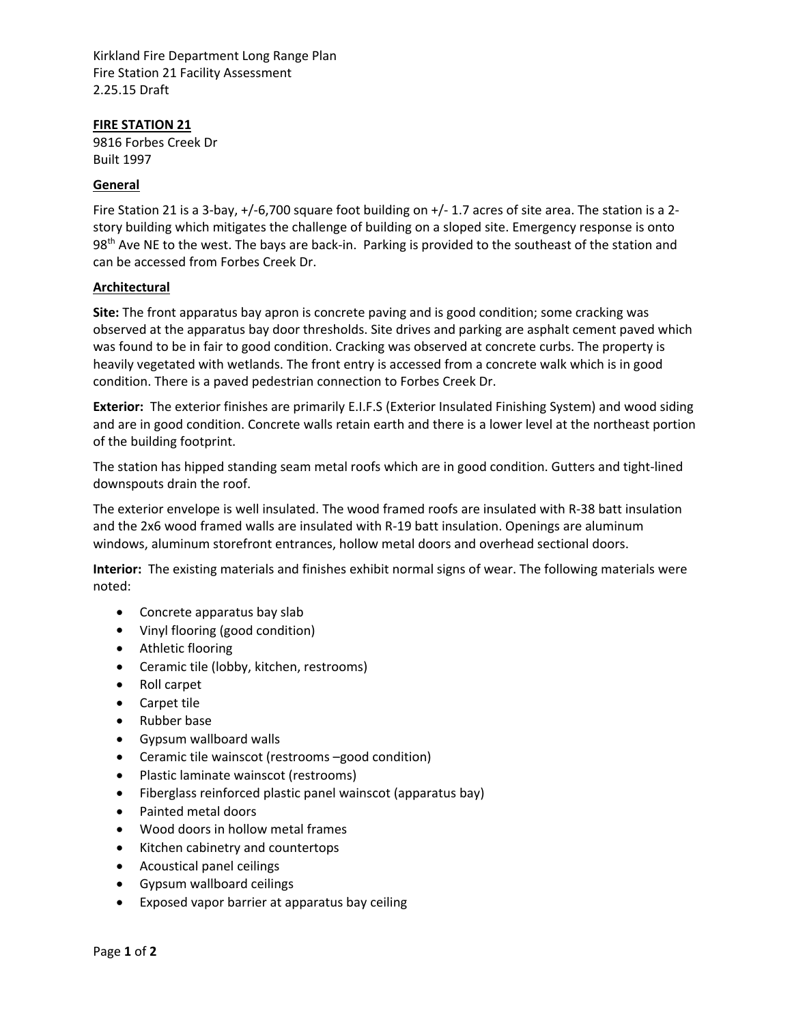Kirkland Fire Department Long Range Plan Fire Station 21 Facility Assessment 2.25.15 Draft

### **FIRE STATION 21**

9816 Forbes Creek Dr Built 1997

### **General**

Fire Station 21 is a 3‐bay, +/‐6,700 square foot building on +/‐ 1.7 acres of site area. The station is a 2‐ story building which mitigates the challenge of building on a sloped site. Emergency response is onto 98<sup>th</sup> Ave NE to the west. The bays are back-in. Parking is provided to the southeast of the station and can be accessed from Forbes Creek Dr.

### **Architectural**

**Site:** The front apparatus bay apron is concrete paving and is good condition; some cracking was observed at the apparatus bay door thresholds. Site drives and parking are asphalt cement paved which was found to be in fair to good condition. Cracking was observed at concrete curbs. The property is heavily vegetated with wetlands. The front entry is accessed from a concrete walk which is in good condition. There is a paved pedestrian connection to Forbes Creek Dr.

**Exterior:** The exterior finishes are primarily E.I.F.S (Exterior Insulated Finishing System) and wood siding and are in good condition. Concrete walls retain earth and there is a lower level at the northeast portion of the building footprint.

The station has hipped standing seam metal roofs which are in good condition. Gutters and tight‐lined downspouts drain the roof.

The exterior envelope is well insulated. The wood framed roofs are insulated with R‐38 batt insulation and the 2x6 wood framed walls are insulated with R-19 batt insulation. Openings are aluminum windows, aluminum storefront entrances, hollow metal doors and overhead sectional doors.

**Interior:** The existing materials and finishes exhibit normal signs of wear. The following materials were noted:

- Concrete apparatus bay slab
- Vinyl flooring (good condition)
- Athletic flooring
- Ceramic tile (lobby, kitchen, restrooms)
- Roll carpet
- Carpet tile
- Rubber base
- Gypsum wallboard walls
- Ceramic tile wainscot (restrooms –good condition)
- Plastic laminate wainscot (restrooms)
- Fiberglass reinforced plastic panel wainscot (apparatus bay)
- Painted metal doors
- Wood doors in hollow metal frames
- Kitchen cabinetry and countertops
- Acoustical panel ceilings
- Gypsum wallboard ceilings
- Exposed vapor barrier at apparatus bay ceiling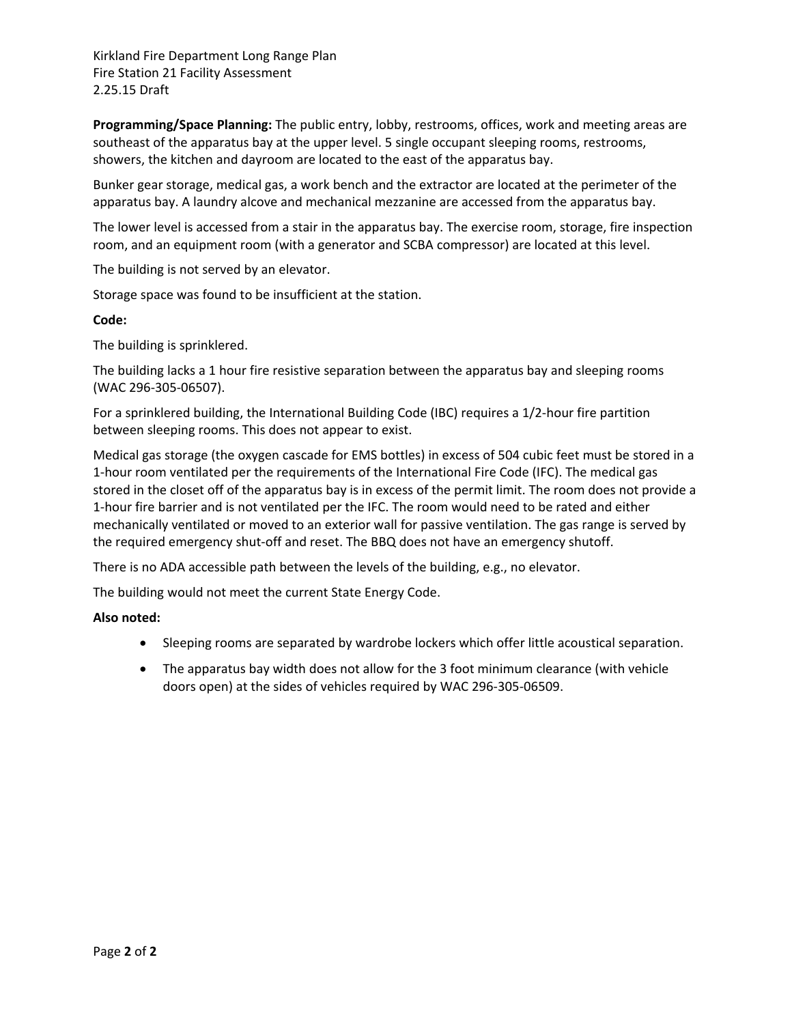Kirkland Fire Department Long Range Plan Fire Station 21 Facility Assessment 2.25.15 Draft

**Programming/Space Planning:** The public entry, lobby, restrooms, offices, work and meeting areas are southeast of the apparatus bay at the upper level. 5 single occupant sleeping rooms, restrooms, showers, the kitchen and dayroom are located to the east of the apparatus bay.

Bunker gear storage, medical gas, a work bench and the extractor are located at the perimeter of the apparatus bay. A laundry alcove and mechanical mezzanine are accessed from the apparatus bay.

The lower level is accessed from a stair in the apparatus bay. The exercise room, storage, fire inspection room, and an equipment room (with a generator and SCBA compressor) are located at this level.

The building is not served by an elevator.

Storage space was found to be insufficient at the station.

### **Code:**

The building is sprinklered.

The building lacks a 1 hour fire resistive separation between the apparatus bay and sleeping rooms (WAC 296‐305‐06507).

For a sprinklered building, the International Building Code (IBC) requires a 1/2‐hour fire partition between sleeping rooms. This does not appear to exist.

Medical gas storage (the oxygen cascade for EMS bottles) in excess of 504 cubic feet must be stored in a 1‐hour room ventilated per the requirements of the International Fire Code (IFC). The medical gas stored in the closet off of the apparatus bay is in excess of the permit limit. The room does not provide a 1‐hour fire barrier and is not ventilated per the IFC. The room would need to be rated and either mechanically ventilated or moved to an exterior wall for passive ventilation. The gas range is served by the required emergency shut‐off and reset. The BBQ does not have an emergency shutoff.

There is no ADA accessible path between the levels of the building, e.g., no elevator.

The building would not meet the current State Energy Code.

### **Also noted:**

- Sleeping rooms are separated by wardrobe lockers which offer little acoustical separation.
- The apparatus bay width does not allow for the 3 foot minimum clearance (with vehicle doors open) at the sides of vehicles required by WAC 296‐305‐06509.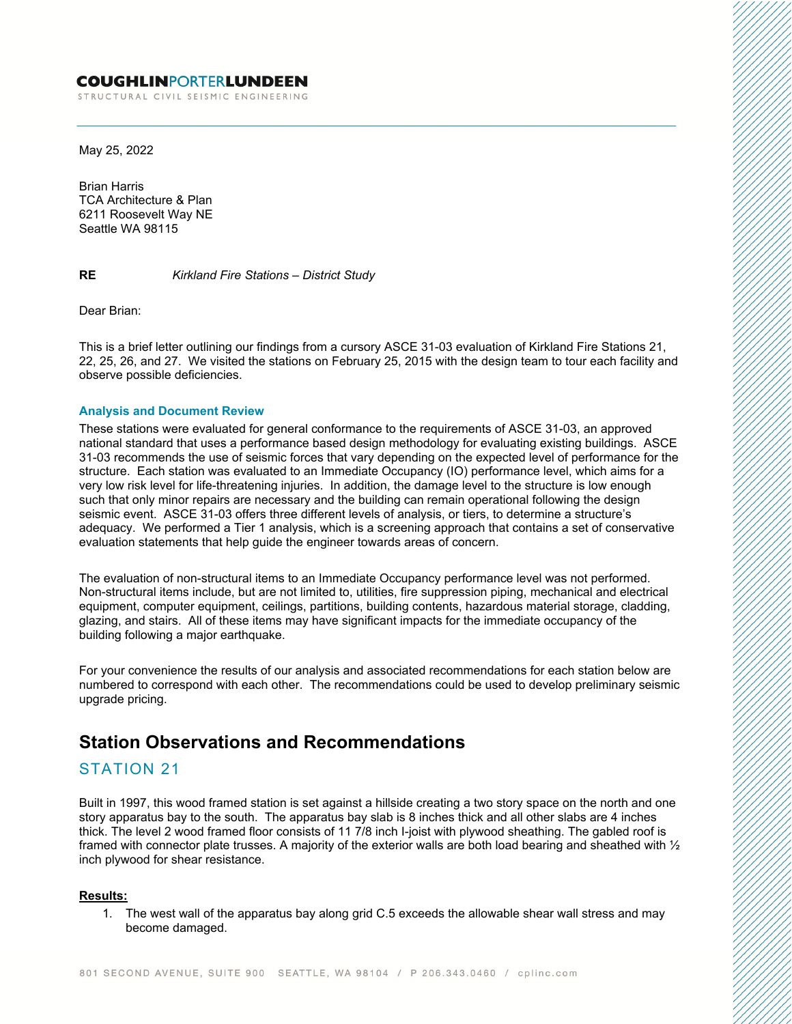### **COUGHLINPORTERLUNDEEN**

STRUCTURAL CIVIL SEISMIC ENGINEERING

May 25, 2022

Brian Harris TCA Architecture & Plan 6211 Roosevelt Way NE Seattle WA 98115

**RE** *Kirkland Fire Stations – District Study*

Dear Brian:

This is a brief letter outlining our findings from a cursory ASCE 31-03 evaluation of Kirkland Fire Stations 21, 22, 25, 26, and 27. We visited the stations on February 25, 2015 with the design team to tour each facility and observe possible deficiencies.

#### **Analysis and Document Review**

These stations were evaluated for general conformance to the requirements of ASCE 31-03, an approved national standard that uses a performance based design methodology for evaluating existing buildings. ASCE 31-03 recommends the use of seismic forces that vary depending on the expected level of performance for the structure. Each station was evaluated to an Immediate Occupancy (IO) performance level, which aims for a very low risk level for life-threatening injuries. In addition, the damage level to the structure is low enough such that only minor repairs are necessary and the building can remain operational following the design seismic event. ASCE 31-03 offers three different levels of analysis, or tiers, to determine a structure's adequacy. We performed a Tier 1 analysis, which is a screening approach that contains a set of conservative evaluation statements that help guide the engineer towards areas of concern.

The evaluation of non-structural items to an Immediate Occupancy performance level was not performed. Non-structural items include, but are not limited to, utilities, fire suppression piping, mechanical and electrical equipment, computer equipment, ceilings, partitions, building contents, hazardous material storage, cladding, glazing, and stairs. All of these items may have significant impacts for the immediate occupancy of the building following a major earthquake.

For your convenience the results of our analysis and associated recommendations for each station below are numbered to correspond with each other. The recommendations could be used to develop preliminary seismic upgrade pricing.

# **Station Observations and Recommendations**

### STATION 21

Built in 1997, this wood framed station is set against a hillside creating a two story space on the north and one story apparatus bay to the south. The apparatus bay slab is 8 inches thick and all other slabs are 4 inches thick. The level 2 wood framed floor consists of 11 7/8 inch I-joist with plywood sheathing. The gabled roof is framed with connector plate trusses. A majority of the exterior walls are both load bearing and sheathed with  $\frac{1}{2}$ inch plywood for shear resistance.

#### **Results:**

1. The west wall of the apparatus bay along grid C.5 exceeds the allowable shear wall stress and may become damaged.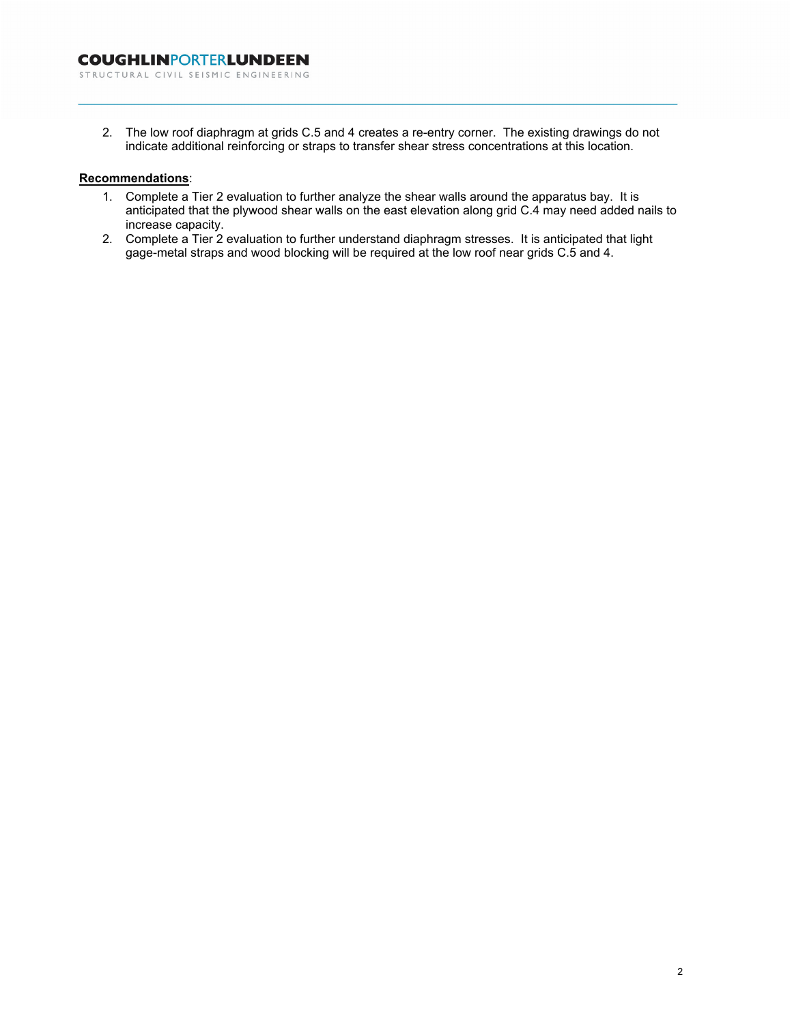2. The low roof diaphragm at grids C.5 and 4 creates a re-entry corner. The existing drawings do not indicate additional reinforcing or straps to transfer shear stress concentrations at this location.

### **Recommendations**:

- 1. Complete a Tier 2 evaluation to further analyze the shear walls around the apparatus bay. It is anticipated that the plywood shear walls on the east elevation along grid C.4 may need added nails to increase capacity.
- 2. Complete a Tier 2 evaluation to further understand diaphragm stresses. It is anticipated that light gage-metal straps and wood blocking will be required at the low roof near grids C.5 and 4.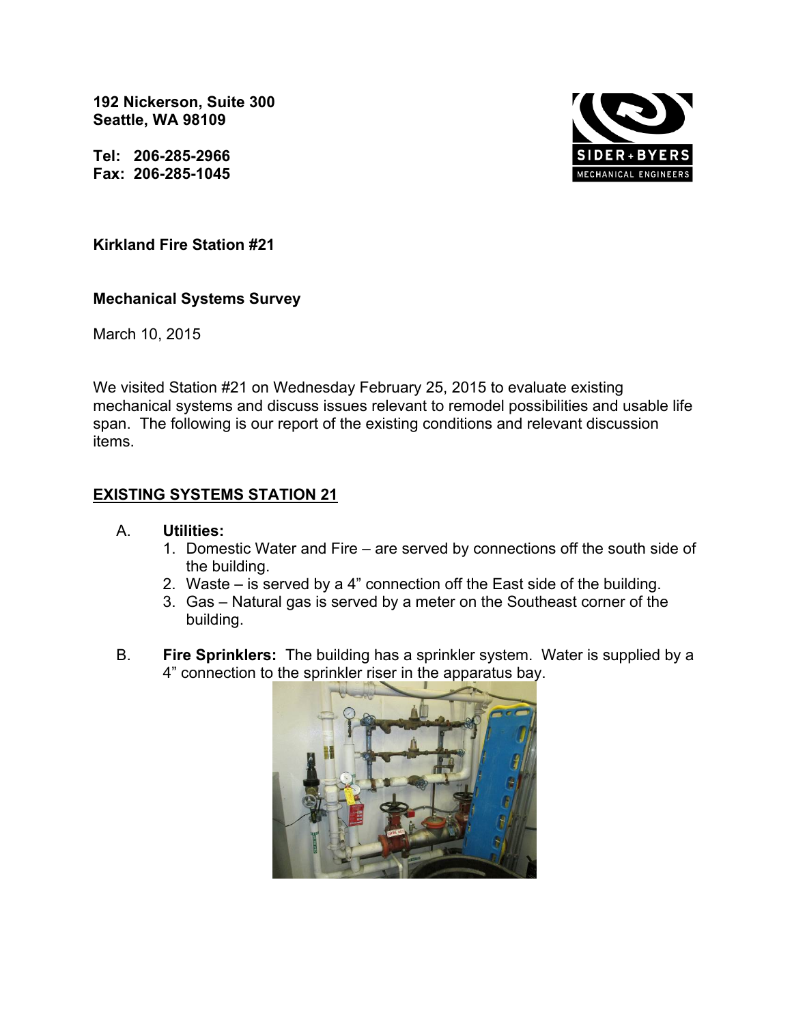**192 Nickerson, Suite 300 Seattle, WA 98109** 

**Tel: 206-285-2966 Fax: 206-285-1045** 



# **Kirkland Fire Station #21**

## **Mechanical Systems Survey**

March 10, 2015

We visited Station #21 on Wednesday February 25, 2015 to evaluate existing mechanical systems and discuss issues relevant to remodel possibilities and usable life span. The following is our report of the existing conditions and relevant discussion items.

# **EXISTING SYSTEMS STATION 21**

### A. **Utilities:**

- 1. Domestic Water and Fire are served by connections off the south side of the building.
- 2. Waste is served by a 4" connection off the East side of the building.
- 3. Gas Natural gas is served by a meter on the Southeast corner of the building.
- B. **Fire Sprinklers:** The building has a sprinkler system. Water is supplied by a 4" connection to the sprinkler riser in the apparatus bay.

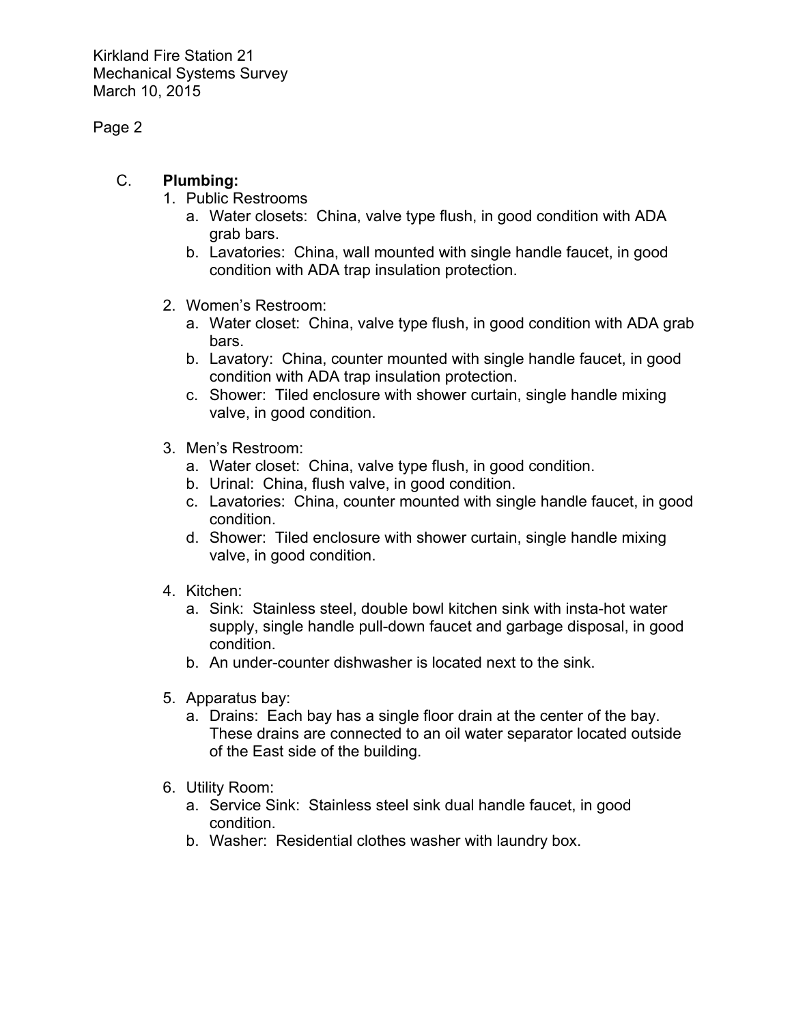Page 2

# C. **Plumbing:**

- 1. Public Restrooms
	- a. Water closets: China, valve type flush, in good condition with ADA grab bars.
	- b. Lavatories: China, wall mounted with single handle faucet, in good condition with ADA trap insulation protection.
- 2. Women's Restroom:
	- a. Water closet: China, valve type flush, in good condition with ADA grab bars.
	- b. Lavatory: China, counter mounted with single handle faucet, in good condition with ADA trap insulation protection.
	- c. Shower: Tiled enclosure with shower curtain, single handle mixing valve, in good condition.
- 3. Men's Restroom:
	- a. Water closet: China, valve type flush, in good condition.
	- b. Urinal: China, flush valve, in good condition.
	- c. Lavatories: China, counter mounted with single handle faucet, in good condition.
	- d. Shower: Tiled enclosure with shower curtain, single handle mixing valve, in good condition.
- 4. Kitchen:
	- a. Sink: Stainless steel, double bowl kitchen sink with insta-hot water supply, single handle pull-down faucet and garbage disposal, in good condition.
	- b. An under-counter dishwasher is located next to the sink.
- 5. Apparatus bay:
	- a. Drains: Each bay has a single floor drain at the center of the bay. These drains are connected to an oil water separator located outside of the East side of the building.
- 6. Utility Room:
	- a. Service Sink: Stainless steel sink dual handle faucet, in good condition.
	- b. Washer: Residential clothes washer with laundry box.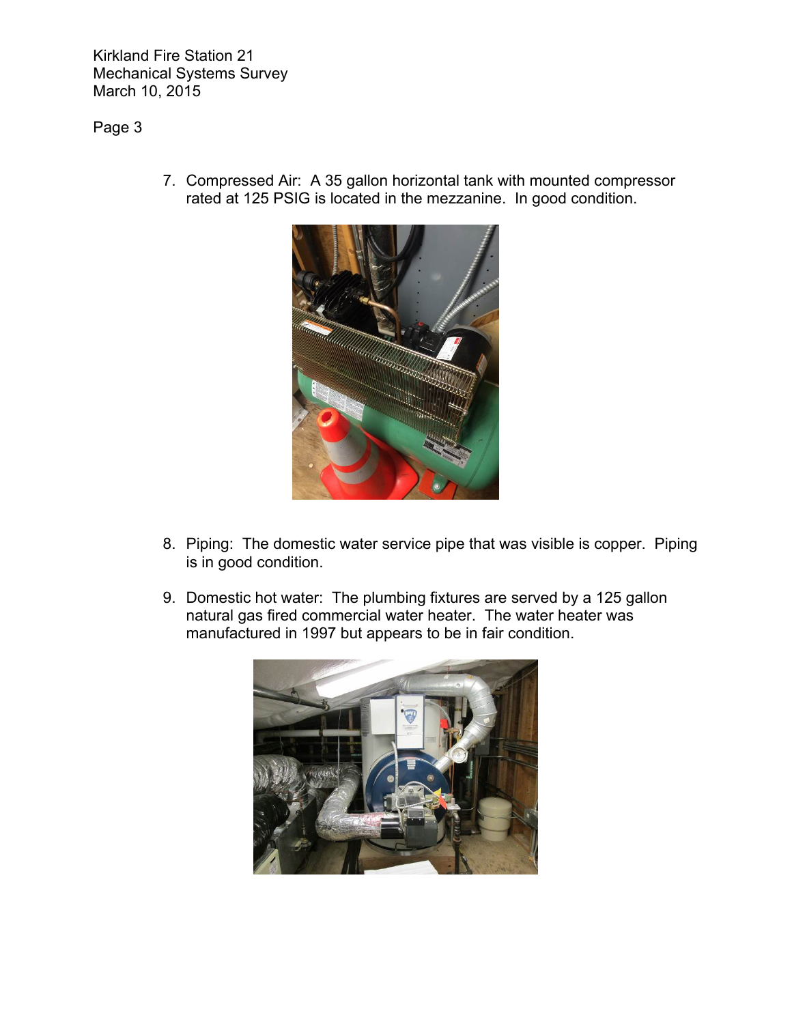Page 3



7. Compressed Air: A 35 gallon horizontal tank with mounted compressor rated at 125 PSIG is located in the mezzanine. In good condition.

- 8. Piping: The domestic water service pipe that was visible is copper. Piping is in good condition.
- 9. Domestic hot water: The plumbing fixtures are served by a 125 gallon natural gas fired commercial water heater. The water heater was manufactured in 1997 but appears to be in fair condition.

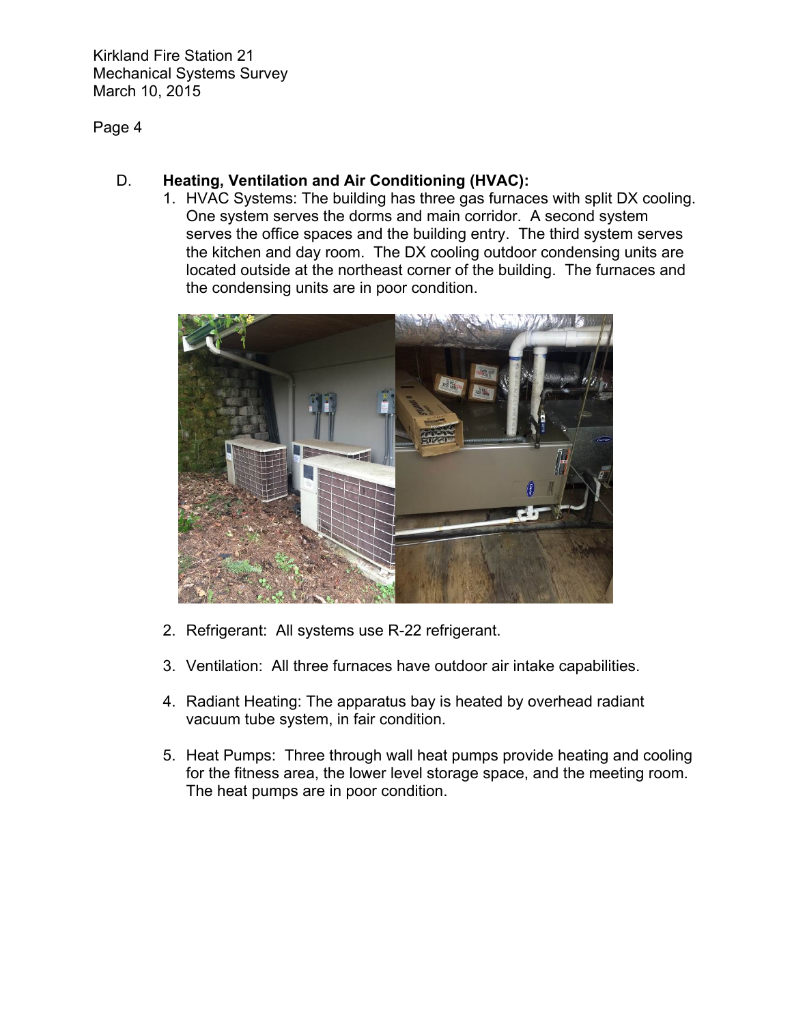Page 4

# D. **Heating, Ventilation and Air Conditioning (HVAC):**

1. HVAC Systems: The building has three gas furnaces with split DX cooling. One system serves the dorms and main corridor. A second system serves the office spaces and the building entry. The third system serves the kitchen and day room. The DX cooling outdoor condensing units are located outside at the northeast corner of the building. The furnaces and the condensing units are in poor condition.



- 2. Refrigerant: All systems use R-22 refrigerant.
- 3. Ventilation: All three furnaces have outdoor air intake capabilities.
- 4. Radiant Heating: The apparatus bay is heated by overhead radiant vacuum tube system, in fair condition.
- 5. Heat Pumps: Three through wall heat pumps provide heating and cooling for the fitness area, the lower level storage space, and the meeting room. The heat pumps are in poor condition.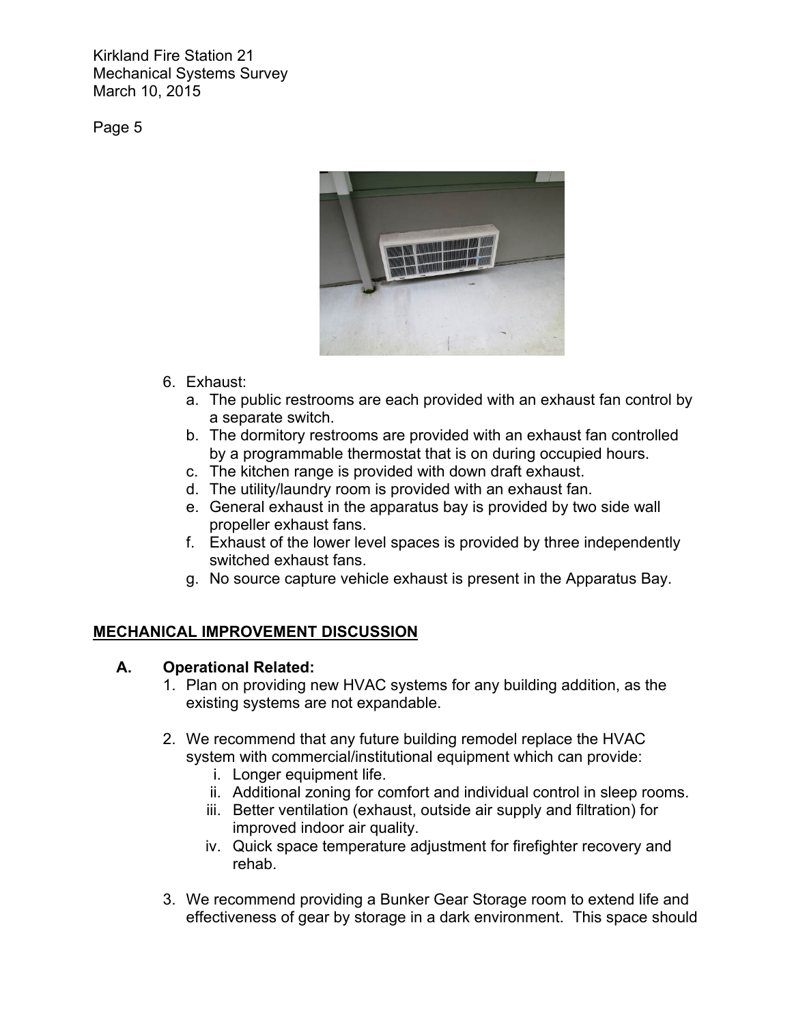Page 5



- 6. Exhaust:
	- a. The public restrooms are each provided with an exhaust fan control by a separate switch.
	- b. The dormitory restrooms are provided with an exhaust fan controlled by a programmable thermostat that is on during occupied hours.
	- c. The kitchen range is provided with down draft exhaust.
	- d. The utility/laundry room is provided with an exhaust fan.
	- e. General exhaust in the apparatus bay is provided by two side wall propeller exhaust fans.
	- f. Exhaust of the lower level spaces is provided by three independently switched exhaust fans.
	- g. No source capture vehicle exhaust is present in the Apparatus Bay.

# **MECHANICAL IMPROVEMENT DISCUSSION**

# **A. Operational Related:**

- 1. Plan on providing new HVAC systems for any building addition, as the existing systems are not expandable.
- 2. We recommend that any future building remodel replace the HVAC system with commercial/institutional equipment which can provide:
	- i. Longer equipment life.
	- ii. Additional zoning for comfort and individual control in sleep rooms.
	- iii. Better ventilation (exhaust, outside air supply and filtration) for improved indoor air quality.
	- iv. Quick space temperature adjustment for firefighter recovery and rehab.
- 3. We recommend providing a Bunker Gear Storage room to extend life and effectiveness of gear by storage in a dark environment. This space should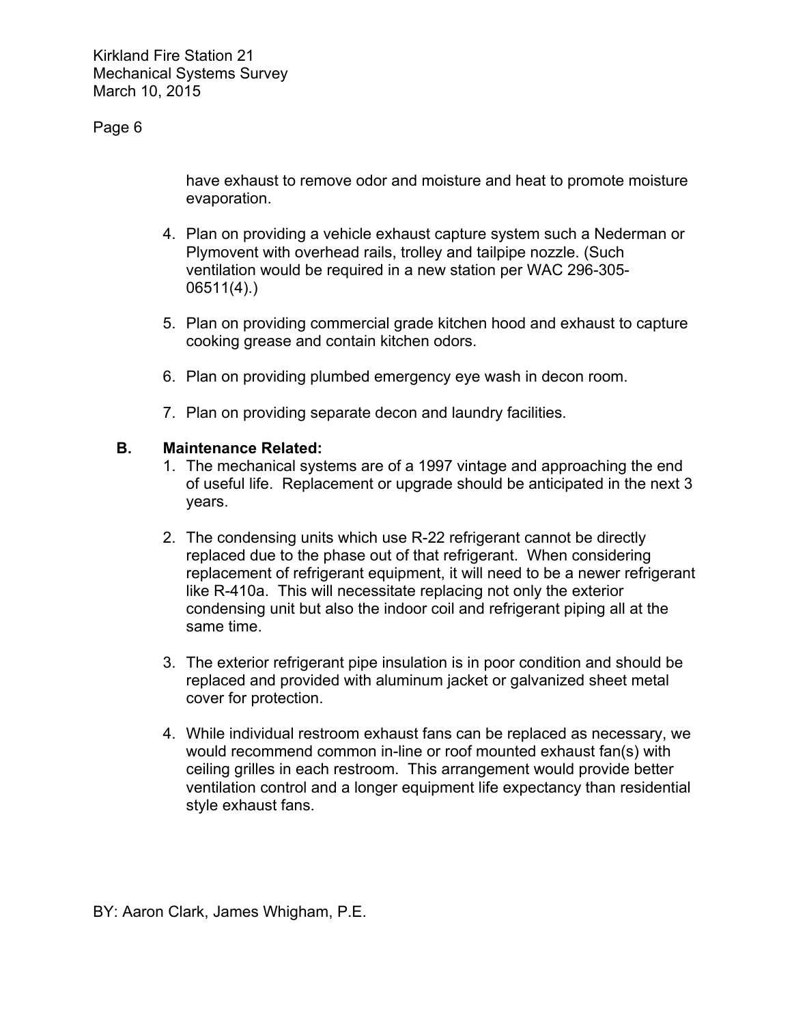# Page 6

have exhaust to remove odor and moisture and heat to promote moisture evaporation.

- 4. Plan on providing a vehicle exhaust capture system such a Nederman or Plymovent with overhead rails, trolley and tailpipe nozzle. (Such ventilation would be required in a new station per WAC 296-305- 06511(4).)
- 5. Plan on providing commercial grade kitchen hood and exhaust to capture cooking grease and contain kitchen odors.
- 6. Plan on providing plumbed emergency eye wash in decon room.
- 7. Plan on providing separate decon and laundry facilities.

## **B. Maintenance Related:**

- 1. The mechanical systems are of a 1997 vintage and approaching the end of useful life. Replacement or upgrade should be anticipated in the next 3 years.
- 2. The condensing units which use R-22 refrigerant cannot be directly replaced due to the phase out of that refrigerant. When considering replacement of refrigerant equipment, it will need to be a newer refrigerant like R-410a. This will necessitate replacing not only the exterior condensing unit but also the indoor coil and refrigerant piping all at the same time.
- 3. The exterior refrigerant pipe insulation is in poor condition and should be replaced and provided with aluminum jacket or galvanized sheet metal cover for protection.
- 4. While individual restroom exhaust fans can be replaced as necessary, we would recommend common in-line or roof mounted exhaust fan(s) with ceiling grilles in each restroom. This arrangement would provide better ventilation control and a longer equipment life expectancy than residential style exhaust fans.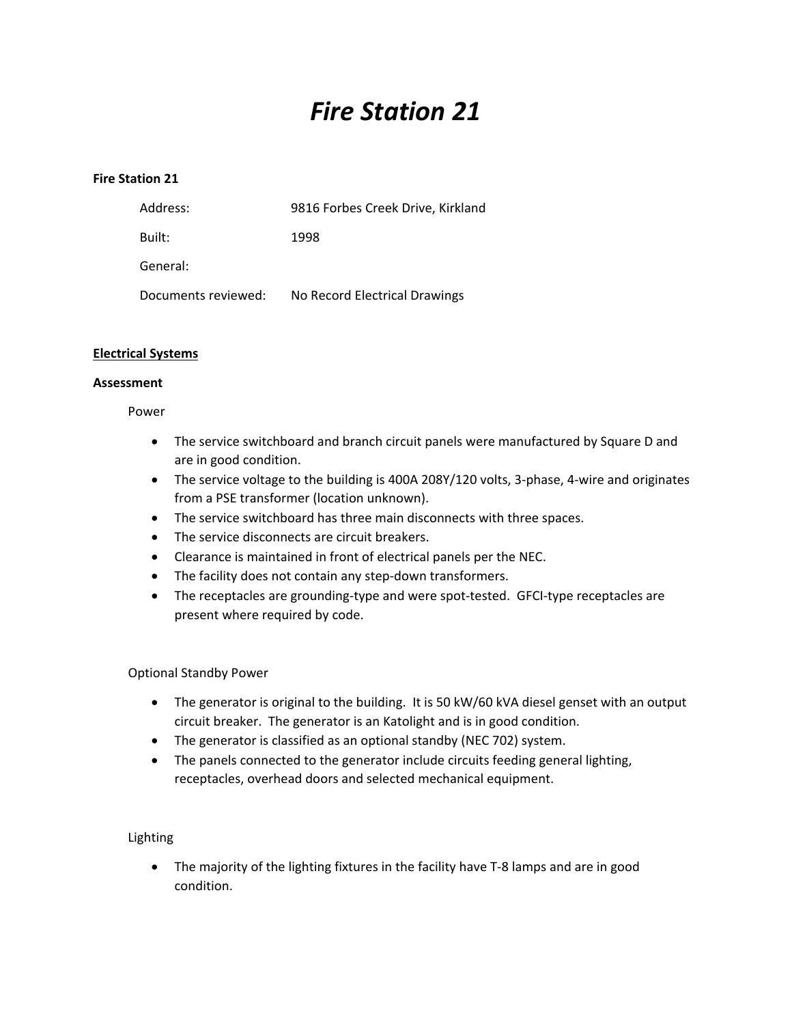# *Fire Station 21*

### **Fire Station 21**

| Address:            | 9816 Forbes Creek Drive, Kirkland |
|---------------------|-----------------------------------|
| Built:              | 1998                              |
| General:            |                                   |
| Documents reviewed: | No Record Electrical Drawings     |

### **Electrical Systems**

### **Assessment**

### Power

- The service switchboard and branch circuit panels were manufactured by Square D and are in good condition.
- The service voltage to the building is 400A 208Y/120 volts, 3-phase, 4-wire and originates from a PSE transformer (location unknown).
- The service switchboard has three main disconnects with three spaces.
- The service disconnects are circuit breakers.
- Clearance is maintained in front of electrical panels per the NEC.
- The facility does not contain any step-down transformers.
- The receptacles are grounding-type and were spot-tested. GFCI-type receptacles are present where required by code.

### Optional Standby Power

- The generator is original to the building. It is 50 kW/60 kVA diesel genset with an output circuit breaker. The generator is an Katolight and is in good condition.
- The generator is classified as an optional standby (NEC 702) system.
- The panels connected to the generator include circuits feeding general lighting, receptacles, overhead doors and selected mechanical equipment.

### Lighting

 The majority of the lighting fixtures in the facility have T‐8 lamps and are in good condition.